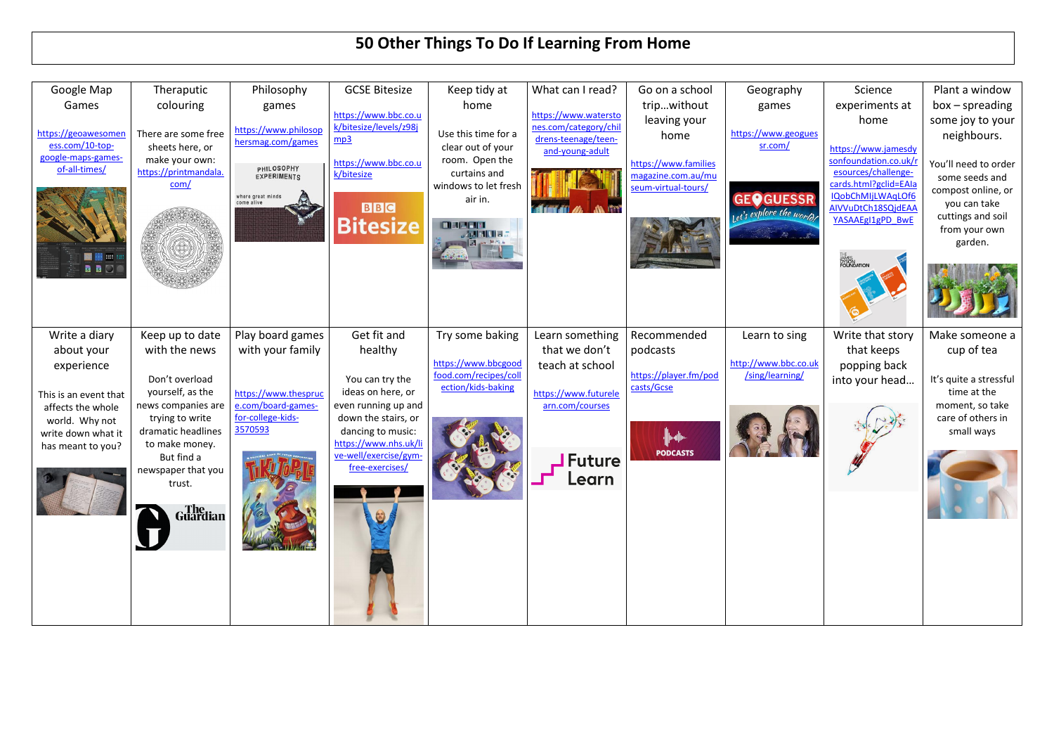## **50 Other Things To Do If Learning From Home**

| Google Map                            | Theraputic                              | Philosophy                                | <b>GCSE Bitesize</b>                           | Keep tidy at                                | What can I read?                              | Go on a school                            | Geography               | Science                                     | Plant a window                       |
|---------------------------------------|-----------------------------------------|-------------------------------------------|------------------------------------------------|---------------------------------------------|-----------------------------------------------|-------------------------------------------|-------------------------|---------------------------------------------|--------------------------------------|
| Games                                 | colouring                               | games                                     |                                                | home                                        |                                               | tripwithout                               | games                   | experiments at                              | $box - spreading$                    |
|                                       |                                         |                                           | https://www.bbc.co.u<br>k/bitesize/levels/z98j |                                             | https://www.watersto<br>nes.com/category/chil | leaving your                              |                         | home                                        | some joy to your                     |
| https://geoawesomen                   | There are some free                     | https://www.philosop<br>hersmag.com/games | mp3                                            | Use this time for a                         | drens-teenage/teen-                           | home                                      | https://www.geogues     |                                             | neighbours.                          |
| ess.com/10-top-<br>google-maps-games- | sheets here, or                         |                                           |                                                | clear out of your                           | and-young-adult                               |                                           | sr.com/                 | https://www.jamesdy                         |                                      |
| of-all-times/                         | make your own:<br>https://printmandala. | PHILOSOPHY                                | https://www.bbc.co.u                           | room. Open the<br>curtains and              |                                               | https://www.families                      |                         | sonfoundation.co.uk/<br>esources/challenge- | You'll need to order                 |
|                                       | com/                                    | <b>EXPERIMENTS</b>                        | k/bitesize                                     | windows to let fresh                        |                                               | magazine.com.au/mu<br>seum-virtual-tours/ |                         | cards.html?gclid=EAIa                       | some seeds and                       |
|                                       |                                         | where great minds<br>come alive           |                                                | air in.                                     |                                               |                                           | <b>GEOGUESSR</b>        | IQobChMIjLWAqLOf6                           | compost online, or<br>you can take   |
|                                       |                                         |                                           | <b>BBC</b>                                     |                                             |                                               |                                           | ot's explore the world, | AIVVuDtCh18SQjdEAA                          | cuttings and soil                    |
|                                       |                                         |                                           | <b>Bitesize</b>                                | <b>Mae John</b><br><b>PERINIA F</b>         |                                               |                                           |                         | YASAAEgI1gPD BwE                            | from your own                        |
|                                       |                                         |                                           |                                                |                                             |                                               |                                           |                         |                                             | garden.                              |
| 国籍                                    |                                         |                                           |                                                |                                             |                                               |                                           |                         | IAMES<br>DYSON<br>FOUNDATION                |                                      |
| <b>B B</b> $\Box$                     |                                         |                                           |                                                |                                             |                                               |                                           |                         |                                             |                                      |
|                                       |                                         |                                           |                                                |                                             |                                               |                                           |                         |                                             |                                      |
|                                       |                                         |                                           |                                                |                                             |                                               |                                           |                         |                                             |                                      |
|                                       |                                         |                                           |                                                |                                             |                                               |                                           |                         |                                             |                                      |
| Write a diary                         | Keep up to date                         | Play board games                          | Get fit and                                    | Try some baking                             | Learn something                               | Recommended                               | Learn to sing           | Write that story                            | Make someone a                       |
| about your                            | with the news                           | with your family                          | healthy                                        |                                             | that we don't                                 | podcasts                                  |                         | that keeps                                  | cup of tea                           |
| experience                            |                                         |                                           |                                                | https://www.bbcgood                         | teach at school                               |                                           | http://www.bbc.co.uk    | popping back                                |                                      |
|                                       | Don't overload                          |                                           | You can try the                                | food.com/recipes/coll<br>ection/kids-baking |                                               | https://player.fm/pod<br>casts/Gcse       | /sing/learning/         | into your head                              | It's quite a stressful               |
| This is an event that                 | yourself, as the                        | https://www.thespruc                      | ideas on here, or                              |                                             | https://www.futurele                          |                                           |                         |                                             | time at the                          |
| affects the whole                     | news companies are<br>trying to write   | e.com/board-games-<br>for-college-kids-   | even running up and<br>down the stairs, or     |                                             | arn.com/courses                               |                                           |                         |                                             | moment, so take<br>care of others in |
| world. Why not<br>write down what it  | dramatic headlines                      | 3570593                                   | dancing to music:                              |                                             |                                               |                                           |                         |                                             | small ways                           |
| has meant to you?                     | to make money.                          |                                           | https://www.nhs.uk/li                          |                                             |                                               |                                           |                         |                                             |                                      |
|                                       | But find a                              |                                           | ve-well/exercise/gym-                          |                                             | J Future                                      | <b>PODCASTS</b>                           |                         |                                             |                                      |
|                                       | newspaper that you                      |                                           | free-exercises/                                |                                             | Learn                                         |                                           |                         |                                             |                                      |
|                                       | trust.                                  |                                           |                                                |                                             |                                               |                                           |                         |                                             |                                      |
|                                       |                                         |                                           |                                                |                                             |                                               |                                           |                         |                                             |                                      |
|                                       | <b>Guardian</b>                         |                                           |                                                |                                             |                                               |                                           |                         |                                             |                                      |
|                                       |                                         |                                           |                                                |                                             |                                               |                                           |                         |                                             |                                      |
|                                       |                                         |                                           |                                                |                                             |                                               |                                           |                         |                                             |                                      |
|                                       |                                         |                                           |                                                |                                             |                                               |                                           |                         |                                             |                                      |
|                                       |                                         |                                           |                                                |                                             |                                               |                                           |                         |                                             |                                      |
|                                       |                                         |                                           |                                                |                                             |                                               |                                           |                         |                                             |                                      |
|                                       |                                         |                                           |                                                |                                             |                                               |                                           |                         |                                             |                                      |
|                                       |                                         |                                           |                                                |                                             |                                               |                                           |                         |                                             |                                      |